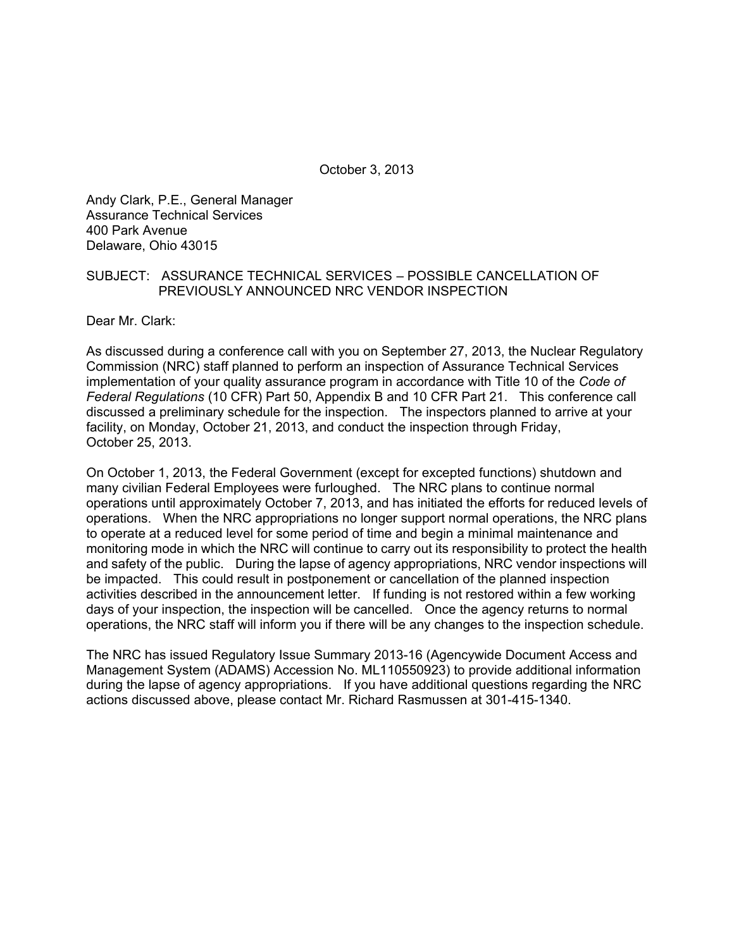October 3, 2013

Andy Clark, P.E., General Manager Assurance Technical Services 400 Park Avenue Delaware, Ohio 43015

#### SUBJECT: ASSURANCE TECHNICAL SERVICES – POSSIBLE CANCELLATION OF PREVIOUSLY ANNOUNCED NRC VENDOR INSPECTION

Dear Mr. Clark:

As discussed during a conference call with you on September 27, 2013, the Nuclear Regulatory Commission (NRC) staff planned to perform an inspection of Assurance Technical Services implementation of your quality assurance program in accordance with Title 10 of the *Code of Federal Regulations* (10 CFR) Part 50, Appendix B and 10 CFR Part 21. This conference call discussed a preliminary schedule for the inspection. The inspectors planned to arrive at your facility, on Monday, October 21, 2013, and conduct the inspection through Friday, October 25, 2013.

On October 1, 2013, the Federal Government (except for excepted functions) shutdown and many civilian Federal Employees were furloughed. The NRC plans to continue normal operations until approximately October 7, 2013, and has initiated the efforts for reduced levels of operations. When the NRC appropriations no longer support normal operations, the NRC plans to operate at a reduced level for some period of time and begin a minimal maintenance and monitoring mode in which the NRC will continue to carry out its responsibility to protect the health and safety of the public. During the lapse of agency appropriations, NRC vendor inspections will be impacted. This could result in postponement or cancellation of the planned inspection activities described in the announcement letter. If funding is not restored within a few working days of your inspection, the inspection will be cancelled. Once the agency returns to normal operations, the NRC staff will inform you if there will be any changes to the inspection schedule.

The NRC has issued Regulatory Issue Summary 2013-16 (Agencywide Document Access and Management System (ADAMS) Accession No. ML110550923) to provide additional information during the lapse of agency appropriations. If you have additional questions regarding the NRC actions discussed above, please contact Mr. Richard Rasmussen at 301-415-1340.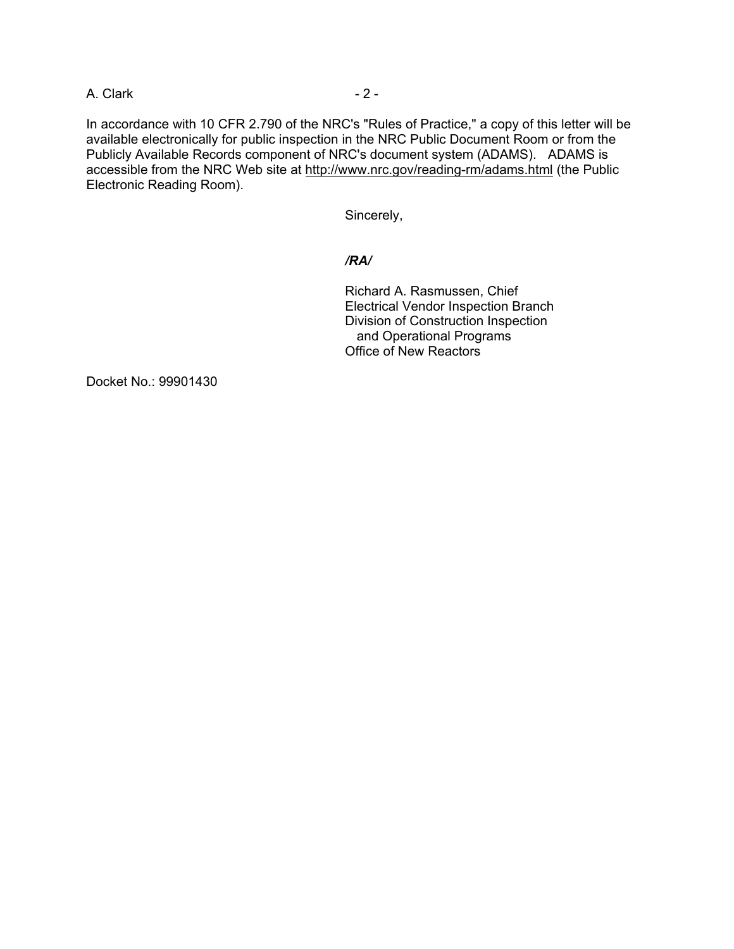### A. Clark - 2 -

In accordance with 10 CFR 2.790 of the NRC's "Rules of Practice," a copy of this letter will be available electronically for public inspection in the NRC Public Document Room or from the Publicly Available Records component of NRC's document system (ADAMS). ADAMS is accessible from the NRC Web site at http://www.nrc.gov/reading-rm/adams.html (the Public Electronic Reading Room).

Sincerely,

# */RA/*

Richard A. Rasmussen, Chief Electrical Vendor Inspection Branch Division of Construction Inspection and Operational Programs Office of New Reactors

Docket No.: 99901430